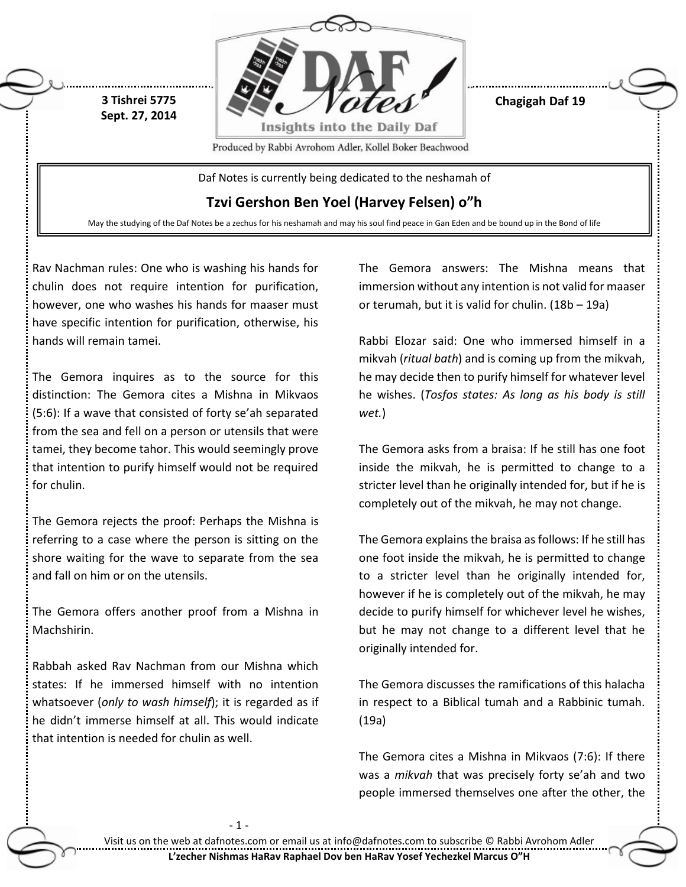

**Chagigah Daf 19**

Produced by Rabbi Avrohom Adler, Kollel Boker Beachwood

Daf Notes is currently being dedicated to the neshamah of

**Tzvi Gershon Ben Yoel (Harvey Felsen) o"h**

May the studying of the Daf Notes be a zechus for his neshamah and may his soul find peace in Gan Eden and be bound up in the Bond of life

Rav Nachman rules: One who is washing his hands for chulin does not require intention for purification, however, one who washes his hands for maaser must have specific intention for purification, otherwise, his hands will remain tamei.

**3 Tishrei 5775 Sept. 27, 2014**

The Gemora inquires as to the source for this distinction: The Gemora cites a Mishna in Mikvaos (5:6): If a wave that consisted of forty se'ah separated from the sea and fell on a person or utensils that were tamei, they become tahor. This would seemingly prove that intention to purify himself would not be required for chulin.

The Gemora rejects the proof: Perhaps the Mishna is referring to a case where the person is sitting on the shore waiting for the wave to separate from the sea and fall on him or on the utensils.

The Gemora offers another proof from a Mishna in Machshirin.

Rabbah asked Rav Nachman from our Mishna which states: If he immersed himself with no intention whatsoever (*only to wash himself*); it is regarded as if he didn't immerse himself at all. This would indicate that intention is needed for chulin as well.

The Gemora answers: The Mishna means that immersion without any intention is not valid for maaser or terumah, but it is valid for chulin. (18b – 19a)

Rabbi Elozar said: One who immersed himself in a mikvah (*ritual bath*) and is coming up from the mikvah, he may decide then to purify himself for whatever level he wishes. (*Tosfos states: As long as his body is still wet.*)

The Gemora asks from a braisa: If he still has one foot inside the mikvah, he is permitted to change to a stricter level than he originally intended for, but if he is completely out of the mikvah, he may not change.

The Gemora explains the braisa as follows: If he still has one foot inside the mikvah, he is permitted to change to a stricter level than he originally intended for, however if he is completely out of the mikvah, he may decide to purify himself for whichever level he wishes, but he may not change to a different level that he originally intended for.

The Gemora discusses the ramifications of this halacha in respect to a Biblical tumah and a Rabbinic tumah. (19a)

The Gemora cites a Mishna in Mikvaos (7:6): If there was a *mikvah* that was precisely forty se'ah and two people immersed themselves one after the other, the

- 1 -

Visit us on the web at dafnotes.com or email us at [info@dafnotes.com](mailto:info@dafnotes.com) to subscribe © Rabbi Avrohom Adler **L'zecher Nishmas HaRav Raphael Dov ben HaRav Yosef Yechezkel Marcus O"H**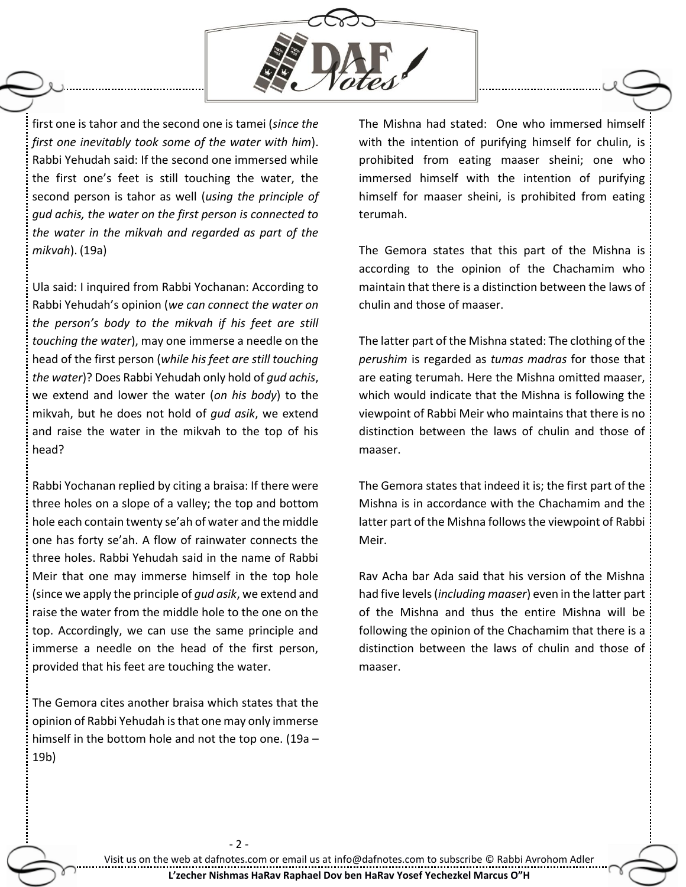

first one is tahor and the second one is tamei (*since the first one inevitably took some of the water with him*). Rabbi Yehudah said: If the second one immersed while the first one's feet is still touching the water, the second person is tahor as well (*using the principle of gud achis, the water on the first person is connected to the water in the mikvah and regarded as part of the mikvah*). (19a)

Ula said: I inquired from Rabbi Yochanan: According to Rabbi Yehudah's opinion (*we can connect the water on the person's body to the mikvah if his feet are still touching the water*), may one immerse a needle on the head of the first person (*while his feet are still touching the water*)? Does Rabbi Yehudah only hold of *gud achis*, we extend and lower the water (*on his body*) to the mikvah, but he does not hold of *gud asik*, we extend and raise the water in the mikvah to the top of his head?

Rabbi Yochanan replied by citing a braisa: If there were three holes on a slope of a valley; the top and bottom hole each contain twenty se'ah of water and the middle one has forty se'ah. A flow of rainwater connects the three holes. Rabbi Yehudah said in the name of Rabbi Meir that one may immerse himself in the top hole (since we apply the principle of *gud asik*, we extend and raise the water from the middle hole to the one on the top. Accordingly, we can use the same principle and immerse a needle on the head of the first person, provided that his feet are touching the water.

The Gemora cites another braisa which states that the opinion of Rabbi Yehudah is that one may only immerse himself in the bottom hole and not the top one. (19a – 19b)

- 2 -

The Mishna had stated: One who immersed himself with the intention of purifying himself for chulin, is prohibited from eating maaser sheini; one who immersed himself with the intention of purifying himself for maaser sheini, is prohibited from eating terumah.

The Gemora states that this part of the Mishna is according to the opinion of the Chachamim who maintain that there is a distinction between the laws of chulin and those of maaser.

The latter part of the Mishna stated: The clothing of the *perushim* is regarded as *tumas madras* for those that are eating terumah. Here the Mishna omitted maaser, which would indicate that the Mishna is following the viewpoint of Rabbi Meir who maintains that there is no distinction between the laws of chulin and those of maaser.

The Gemora states that indeed it is; the first part of the Mishna is in accordance with the Chachamim and the latter part of the Mishna follows the viewpoint of Rabbi Meir.

Rav Acha bar Ada said that his version of the Mishna had five levels (*including maaser*) even in the latter part of the Mishna and thus the entire Mishna will be following the opinion of the Chachamim that there is a distinction between the laws of chulin and those of maaser.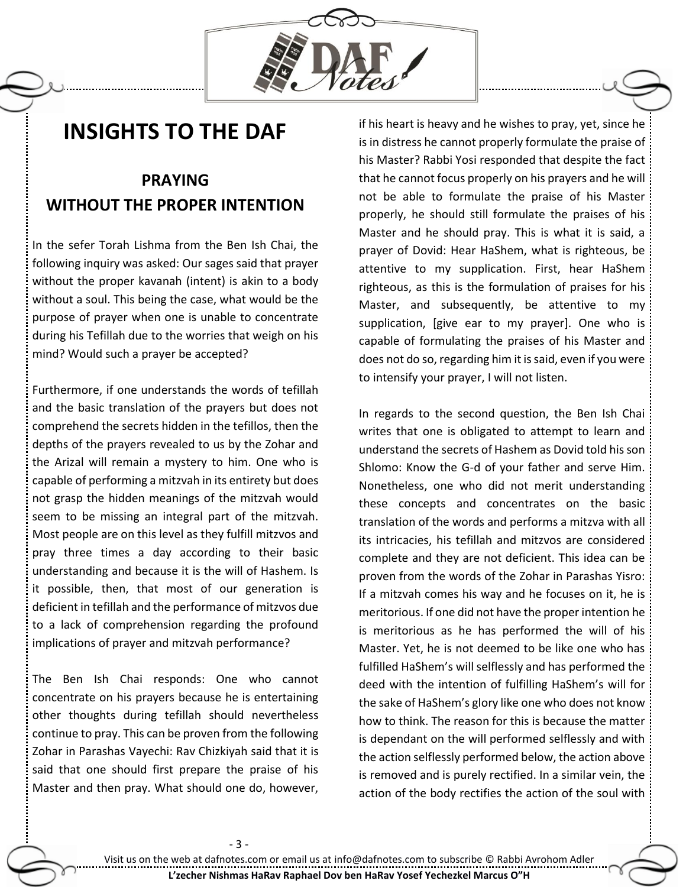

## **INSIGHTS TO THE DAF**

## **PRAYING WITHOUT THE PROPER INTENTION**

In the sefer Torah Lishma from the Ben Ish Chai, the following inquiry was asked: Our sages said that prayer without the proper kavanah (intent) is akin to a body without a soul. This being the case, what would be the purpose of prayer when one is unable to concentrate during his Tefillah due to the worries that weigh on his mind? Would such a prayer be accepted?

Furthermore, if one understands the words of tefillah and the basic translation of the prayers but does not comprehend the secrets hidden in the tefillos, then the depths of the prayers revealed to us by the Zohar and the Arizal will remain a mystery to him. One who is capable of performing a mitzvah in its entirety but does not grasp the hidden meanings of the mitzvah would seem to be missing an integral part of the mitzvah. Most people are on this level as they fulfill mitzvos and pray three times a day according to their basic understanding and because it is the will of Hashem. Is it possible, then, that most of our generation is deficient in tefillah and the performance of mitzvos due to a lack of comprehension regarding the profound implications of prayer and mitzvah performance?

The Ben Ish Chai responds: One who cannot concentrate on his prayers because he is entertaining other thoughts during tefillah should nevertheless continue to pray. This can be proven from the following Zohar in Parashas Vayechi: Rav Chizkiyah said that it is said that one should first prepare the praise of his Master and then pray. What should one do, however,

if his heart is heavy and he wishes to pray, yet, since he is in distress he cannot properly formulate the praise of his Master? Rabbi Yosi responded that despite the fact that he cannot focus properly on his prayers and he will not be able to formulate the praise of his Master properly, he should still formulate the praises of his Master and he should pray. This is what it is said, a prayer of Dovid: Hear HaShem, what is righteous, be attentive to my supplication. First, hear HaShem righteous, as this is the formulation of praises for his Master, and subsequently, be attentive to my supplication, [give ear to my prayer]. One who is capable of formulating the praises of his Master and does not do so, regarding him it is said, even if you were to intensify your prayer, I will not listen.

In regards to the second question, the Ben Ish Chai writes that one is obligated to attempt to learn and understand the secrets of Hashem as Dovid told his son Shlomo: Know the G-d of your father and serve Him. Nonetheless, one who did not merit understanding these concepts and concentrates on the basic translation of the words and performs a mitzva with all its intricacies, his tefillah and mitzvos are considered complete and they are not deficient. This idea can be proven from the words of the Zohar in Parashas Yisro: If a mitzvah comes his way and he focuses on it, he is meritorious. If one did not have the proper intention he is meritorious as he has performed the will of his Master. Yet, he is not deemed to be like one who has fulfilled HaShem's will selflessly and has performed the deed with the intention of fulfilling HaShem's will for the sake of HaShem's glory like one who does not know how to think. The reason for this is because the matter is dependant on the will performed selflessly and with the action selflessly performed below, the action above is removed and is purely rectified. In a similar vein, the action of the body rectifies the action of the soul with